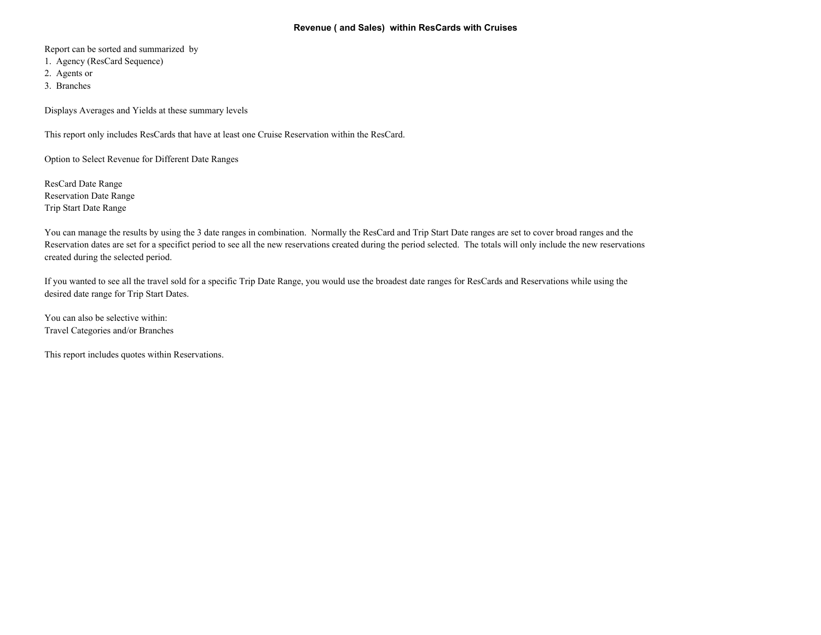## **Revenue ( and Sales) within ResCards with Cruises**

Report can be sorted and summarized by

- 1. Agency (ResCard Sequence)
- 2. Agents or
- 3. Branches

Displays Averages and Yields at these summary levels

This report only includes ResCards that have at least one Cruise Reservation within the ResCard.

Option to Select Revenue for Different Date Ranges

ResCard Date Range Reservation Date Range Trip Start Date Range

You can manage the results by using the 3 date ranges in combination. Normally the ResCard and Trip Start Date ranges are set to cover broad ranges and the Reservation dates are set for a specifict period to see all the new reservations created during the period selected. The totals will only include the new reservations created during the selected period.

If you wanted to see all the travel sold for a specific Trip Date Range, you would use the broadest date ranges for ResCards and Reservations while using the desired date range for Trip Start Dates.

You can also be selective within: Travel Categories and/or Branches

This report includes quotes within Reservations.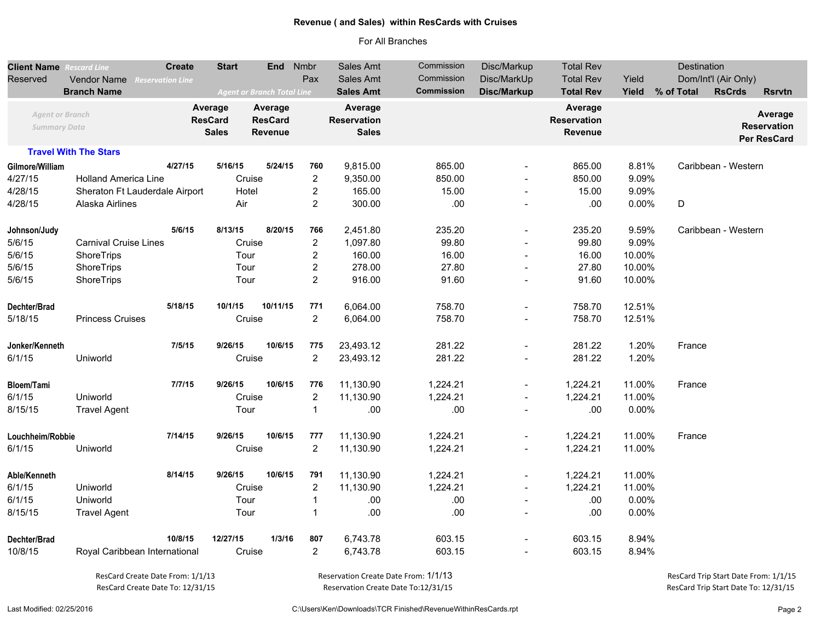## **Revenue ( and Sales) within ResCards with Cruises**

## For All Branches

| <b>Client Name</b> Rescard Line               |                                | <b>Create</b>                             | <b>Start</b> | End Nmbr                                    |                  | Sales Amt                                     | Commission        | Disc/Markup              | <b>Total Rev</b>                         | Destination |            |                      |                                              |  |
|-----------------------------------------------|--------------------------------|-------------------------------------------|--------------|---------------------------------------------|------------------|-----------------------------------------------|-------------------|--------------------------|------------------------------------------|-------------|------------|----------------------|----------------------------------------------|--|
| Reserved                                      | Vendor Name                    | <b>Reservation Line</b>                   |              |                                             | Pax              | Sales Amt                                     | Commission        | Disc/MarkUp              | <b>Total Rev</b>                         | Yield       |            | Dom/Int'l (Air Only) |                                              |  |
|                                               | <b>Branch Name</b>             |                                           |              | <b>Agent or Branch Total Line</b>           |                  | <b>Sales Amt</b>                              | <b>Commission</b> | Disc/Markup              | <b>Total Rev</b>                         | Yield       | % of Total | <b>RsCrds</b>        | <b>Rsrvtn</b>                                |  |
| <b>Agent or Branch</b><br><b>Summary Data</b> |                                | Average<br><b>ResCard</b><br><b>Sales</b> |              | Average<br><b>ResCard</b><br><b>Revenue</b> |                  | Average<br><b>Reservation</b><br><b>Sales</b> |                   |                          | Average<br><b>Reservation</b><br>Revenue |             |            |                      | Average<br><b>Reservation</b><br>Per ResCard |  |
|                                               | <b>Travel With The Stars</b>   |                                           |              |                                             |                  |                                               |                   |                          |                                          |             |            |                      |                                              |  |
| Gilmore/William                               |                                | 4/27/15                                   | 5/16/15      | 5/24/15                                     | 760              | 9,815.00                                      | 865.00            |                          | 865.00                                   | 8.81%       |            | Caribbean - Western  |                                              |  |
| 4/27/15                                       | <b>Holland America Line</b>    |                                           |              | Cruise                                      | $\overline{2}$   | 9,350.00                                      | 850.00            | $\overline{\phantom{a}}$ | 850.00                                   | 9.09%       |            |                      |                                              |  |
| 4/28/15                                       | Sheraton Ft Lauderdale Airport |                                           | Hotel        |                                             | $\boldsymbol{2}$ | 165.00                                        | 15.00             | $\overline{\phantom{a}}$ | 15.00                                    | 9.09%       |            |                      |                                              |  |
| 4/28/15                                       | Alaska Airlines                |                                           | Air          |                                             | $\overline{2}$   | 300.00                                        | .00               |                          | .00                                      | 0.00%       | D          |                      |                                              |  |
| Johnson/Judy                                  |                                | 5/6/15                                    | 8/13/15      | 8/20/15                                     | 766              | 2,451.80                                      | 235.20            | $\overline{a}$           | 235.20                                   | 9.59%       |            | Caribbean - Western  |                                              |  |
| 5/6/15                                        | <b>Carnival Cruise Lines</b>   |                                           |              | Cruise                                      | $\overline{2}$   | 1,097.80                                      | 99.80             |                          | 99.80                                    | 9.09%       |            |                      |                                              |  |
| 5/6/15                                        | ShoreTrips                     |                                           | Tour         |                                             | $\boldsymbol{2}$ | 160.00                                        | 16.00             | $\overline{\phantom{a}}$ | 16.00                                    | 10.00%      |            |                      |                                              |  |
| 5/6/15                                        | ShoreTrips                     |                                           | Tour         |                                             | $\boldsymbol{2}$ | 278.00                                        | 27.80             | $\overline{\phantom{a}}$ | 27.80                                    | 10.00%      |            |                      |                                              |  |
| 5/6/15                                        | ShoreTrips                     |                                           | Tour         |                                             | $\overline{2}$   | 916.00                                        | 91.60             | $\blacksquare$           | 91.60                                    | 10.00%      |            |                      |                                              |  |
| Dechter/Brad                                  |                                | 5/18/15                                   | 10/1/15      | 10/11/15                                    | 771              | 6,064.00                                      | 758.70            | $\overline{a}$           | 758.70                                   | 12.51%      |            |                      |                                              |  |
| 5/18/15                                       | <b>Princess Cruises</b>        |                                           |              | Cruise                                      | $\overline{2}$   | 6,064.00                                      | 758.70            | $\overline{a}$           | 758.70                                   | 12.51%      |            |                      |                                              |  |
| Jonker/Kenneth                                |                                | 7/5/15                                    | 9/26/15      | 10/6/15                                     | 775              | 23,493.12                                     | 281.22            | $\overline{a}$           | 281.22                                   | 1.20%       | France     |                      |                                              |  |
| 6/1/15                                        | Uniworld                       |                                           |              | Cruise                                      | $\overline{2}$   | 23,493.12                                     | 281.22            |                          | 281.22                                   | 1.20%       |            |                      |                                              |  |
| Bloem/Tami                                    |                                | 7/7/15                                    | 9/26/15      | 10/6/15                                     | 776              | 11,130.90                                     | 1,224.21          | $\overline{\phantom{a}}$ | 1,224.21                                 | 11.00%      | France     |                      |                                              |  |
| 6/1/15                                        | Uniworld                       |                                           |              | Cruise                                      | $\overline{c}$   | 11,130.90                                     | 1,224.21          |                          | 1,224.21                                 | 11.00%      |            |                      |                                              |  |
| 8/15/15                                       | <b>Travel Agent</b>            |                                           | Tour         |                                             | $\mathbf 1$      | .00                                           | .00               |                          | .00                                      | 0.00%       |            |                      |                                              |  |
| Louchheim/Robbie                              |                                | 7/14/15                                   | 9/26/15      | 10/6/15                                     | 777              | 11,130.90                                     | 1,224.21          | $\blacksquare$           | 1,224.21                                 | 11.00%      | France     |                      |                                              |  |
| 6/1/15                                        | Uniworld                       |                                           |              | Cruise                                      | $\overline{2}$   | 11,130.90                                     | 1,224.21          | $\overline{\phantom{a}}$ | 1,224.21                                 | 11.00%      |            |                      |                                              |  |
| Able/Kenneth                                  |                                | 8/14/15                                   | 9/26/15      | 10/6/15                                     | 791              | 11,130.90                                     | 1,224.21          | $\blacksquare$           | 1,224.21                                 | 11.00%      |            |                      |                                              |  |
| 6/1/15                                        | Uniworld                       |                                           |              | Cruise                                      | $\overline{2}$   | 11,130.90                                     | 1,224.21          | $\blacksquare$           | 1,224.21                                 | 11.00%      |            |                      |                                              |  |
| 6/1/15                                        | Uniworld                       |                                           | Tour         |                                             | $\mathbf{1}$     | .00                                           | .00               | $\overline{\phantom{a}}$ | .00                                      | 0.00%       |            |                      |                                              |  |
| 8/15/15                                       | <b>Travel Agent</b>            |                                           | Tour         |                                             | $\mathbf{1}$     | .00                                           | .00               |                          | .00                                      | 0.00%       |            |                      |                                              |  |
| Dechter/Brad                                  |                                | 10/8/15                                   | 12/27/15     | 1/3/16                                      | 807              | 6,743.78                                      | 603.15            |                          | 603.15                                   | 8.94%       |            |                      |                                              |  |
| 10/8/15                                       | Royal Caribbean International  |                                           |              | Cruise                                      | $\overline{2}$   | 6,743.78                                      | 603.15            |                          | 603.15                                   | 8.94%       |            |                      |                                              |  |

ResCard Create Date To: 12/31/15

Reservation Create Date From: 1/1/13 Reservation Create Date To:12/31/15

 ResCard Trip Start Date To: 12/31/15 ResCard Create Date From: 1/1/13 Reservation Create Date From: 1/1/13 ResCard Trip Start Date From: 1/1/15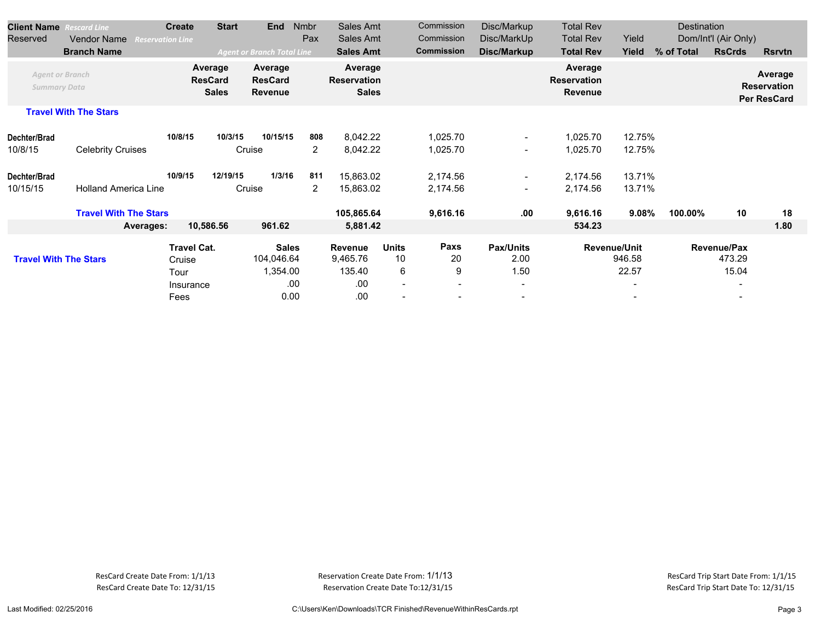| <b>Client Name</b>                            | <b>Rescard Line</b>          | <b>Create</b>           | <b>Start</b>                              | <b>End</b>                                  | <b>Nmbr</b>           | Sales Amt                                     |                                                     | Commission                                  | Disc/Markup                                                  | <b>Total Rev</b>                                |                                                                    | Destination |                                                            |                                              |
|-----------------------------------------------|------------------------------|-------------------------|-------------------------------------------|---------------------------------------------|-----------------------|-----------------------------------------------|-----------------------------------------------------|---------------------------------------------|--------------------------------------------------------------|-------------------------------------------------|--------------------------------------------------------------------|-------------|------------------------------------------------------------|----------------------------------------------|
| Reserved                                      | <b>Vendor Name</b>           | <b>Reservation Line</b> |                                           |                                             | Pax                   | Sales Amt                                     |                                                     | Commission                                  | Disc/MarkUp                                                  | <b>Total Rev</b>                                | Yield                                                              |             | Dom/Int'l (Air Only)                                       |                                              |
|                                               | <b>Branch Name</b>           |                         |                                           | <b>Agent or Branch Total Line</b>           |                       | <b>Sales Amt</b>                              |                                                     | <b>Commission</b>                           | Disc/Markup                                                  | <b>Total Rev</b>                                | Yield                                                              | % of Total  | <b>RsCrds</b>                                              | <b>Rsrvtn</b>                                |
| <b>Agent or Branch</b><br><b>Summary Data</b> |                              |                         | Average<br><b>ResCard</b><br><b>Sales</b> | Average<br><b>ResCard</b><br><b>Revenue</b> |                       | Average<br><b>Reservation</b><br><b>Sales</b> |                                                     |                                             |                                                              | Average<br><b>Reservation</b><br><b>Revenue</b> |                                                                    |             |                                                            | Average<br><b>Reservation</b><br>Per ResCard |
|                                               | <b>Travel With The Stars</b> |                         |                                           |                                             |                       |                                               |                                                     |                                             |                                                              |                                                 |                                                                    |             |                                                            |                                              |
| Dechter/Brad<br>10/8/15                       | <b>Celebrity Cruises</b>     |                         | 10/3/15<br>10/8/15                        | 10/15/15<br>Cruise                          | 808<br>$\overline{2}$ | 8,042.22<br>8,042.22                          |                                                     | 1,025.70<br>1,025.70                        | $\qquad \qquad \blacksquare$<br>$\overline{\phantom{0}}$     | 1,025.70<br>1,025.70                            | 12.75%<br>12.75%                                                   |             |                                                            |                                              |
| Dechter/Brad<br>10/15/15                      | <b>Holland America Line</b>  | 10/9/15                 | 12/19/15                                  | 1/3/16<br>Cruise                            | 811<br>$\overline{2}$ | 15,863.02<br>15,863.02                        |                                                     | 2,174.56<br>2,174.56                        | $\sim$<br>$\overline{\phantom{0}}$                           | 2,174.56<br>2,174.56                            | 13.71%<br>13.71%                                                   |             |                                                            |                                              |
|                                               | <b>Travel With The Stars</b> |                         |                                           |                                             |                       | 105,865.64                                    |                                                     | 9,616.16                                    | .00                                                          | 9,616.16                                        | 9.08%                                                              | 100.00%     | 10                                                         | 18                                           |
|                                               | Averages:                    |                         | 10,586.56                                 | 961.62                                      |                       | 5,881.42                                      |                                                     |                                             |                                                              | 534.23                                          |                                                                    |             |                                                            | 1.80                                         |
| <b>Travel With The Stars</b>                  |                              | Tour                    | <b>Travel Cat.</b><br>Cruise<br>Insurance | <b>Sales</b><br>104,046.64<br>1,354.00      | .00                   | <b>Revenue</b><br>9,465.76<br>135.40<br>.00   | <b>Units</b><br>10<br>6<br>$\overline{\phantom{a}}$ | Paxs<br>20<br>9<br>$\overline{\phantom{a}}$ | <b>Pax/Units</b><br>2.00<br>1.50<br>$\overline{\phantom{a}}$ |                                                 | <b>Revenue/Unit</b><br>946.58<br>22.57<br>$\overline{\phantom{a}}$ |             | Revenue/Pax<br>473.29<br>15.04<br>$\overline{\phantom{a}}$ |                                              |
|                                               |                              | Fees                    |                                           | 0.00                                        |                       | .00                                           | -                                                   | $\overline{\phantom{a}}$                    |                                                              |                                                 |                                                                    |             |                                                            |                                              |